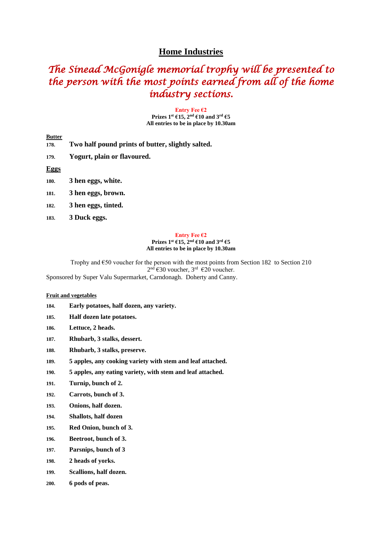# **Home Industries**

# *The Sinead McGonigle memorial trophy will be presented to the person with the most points earned from all of the home industry sections.*

**Entry Fee €2 Prizes 1st €15, 2nd €10 and 3rd €5 All entries to be in place by 10.30am**

**178. Two half pound prints of butter, slightly salted.**

**179. Yogurt, plain or flavoured.**

**Eggs**

- **180. 3 hen eggs, white.**
- **181. 3 hen eggs, brown.**
- **182. 3 hen eggs, tinted.**
- **183. 3 Duck eggs.**

#### **Entry Fee €2 Prizes 1st €15, 2nd €10 and 3rd €5 All entries to be in place by 10.30am**

Trophy and €50 voucher for the person with the most points from Section 182 to Section 210 2<sup>nd</sup> €30 voucher, 3<sup>rd</sup> €20 voucher.

Sponsored by Super Valu Supermarket, Carndonagh. Doherty and Canny.

## **Fruit and vegetables**

- **184. Early potatoes, half dozen, any variety.**
- **185. Half dozen late potatoes.**
- **186. Lettuce, 2 heads.**
- **187. Rhubarb, 3 stalks, dessert.**
- **188. Rhubarb, 3 stalks, preserve.**
- **189. 5 apples, any cooking variety with stem and leaf attached.**
- **190. 5 apples, any eating variety, with stem and leaf attached.**
- **191. Turnip, bunch of 2.**
- **192. Carrots, bunch of 3.**
- **193. Onions, half dozen.**
- **194. Shallots, half dozen**
- **195. Red Onion, bunch of 3.**
- **196. Beetroot, bunch of 3.**
- **197. Parsnips, bunch of 3**
- **198. 2 heads of yorks.**
- **199. Scallions, half dozen.**
- **200. 6 pods of peas.**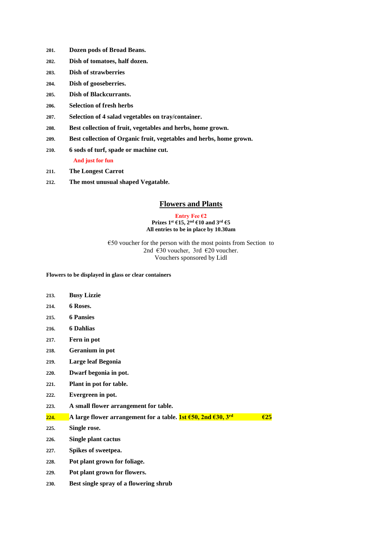- **201. Dozen pods of Broad Beans.**
- **202. Dish of tomatoes, half dozen.**
- **203. Dish of strawberries**
- **204. Dish of gooseberries.**
- **205. Dish of Blackcurrants.**
- **206. Selection of fresh herbs**
- **207. Selection of 4 salad vegetables on tray/container.**
- **208. Best collection of fruit, vegetables and herbs, home grown.**
- **209. Best collection of Organic fruit, vegetables and herbs, home grown.**
- **210. 6 sods of turf, spade or machine cut. And just for fun**
- **211. The Longest Carrot**
- **212. The most unusual shaped Vegatable.**

# **Flowers and Plants**

#### **Entry Fee €2 Prizes 1st €15, 2nd €10 and 3rd €5 All entries to be in place by 10.30am**

 $\epsilon$ 50 voucher for the person with the most points from Section to 2nd €30 voucher, 3rd €20 voucher. Vouchers sponsored by Lidl

**Flowers to be displayed in glass or clear containers**

| 213.              | <b>Busy Lizzie</b>                                                                                                      |               |
|-------------------|-------------------------------------------------------------------------------------------------------------------------|---------------|
| 214.              | 6 Roses.                                                                                                                |               |
| 215.              | <b>6 Pansies</b>                                                                                                        |               |
| 216.              | <b>6 Dahlias</b>                                                                                                        |               |
| 217.              | Fern in pot                                                                                                             |               |
| 218.              | Geranium in pot                                                                                                         |               |
| 219.              | Large leaf Begonia                                                                                                      |               |
| 220.              | Dwarf begonia in pot.                                                                                                   |               |
| 221.              | Plant in pot for table.                                                                                                 |               |
| 222.              | Evergreen in pot.                                                                                                       |               |
| 223.              | A small flower arrangement for table.                                                                                   |               |
| <mark>224.</mark> | A large flower arrangement for a table. <b>1st <math>\epsilon</math>50, 2nd <math>\epsilon</math>30, 3<sup>rd</sup></b> | $\epsilon$ 25 |
| 225.              | Single rose.                                                                                                            |               |
| 226.              | Single plant cactus                                                                                                     |               |
| 227.              | Spikes of sweetpea.                                                                                                     |               |

- 
- **228. Pot plant grown for foliage.**
- **229. Pot plant grown for flowers.**
- **230. Best single spray of a flowering shrub**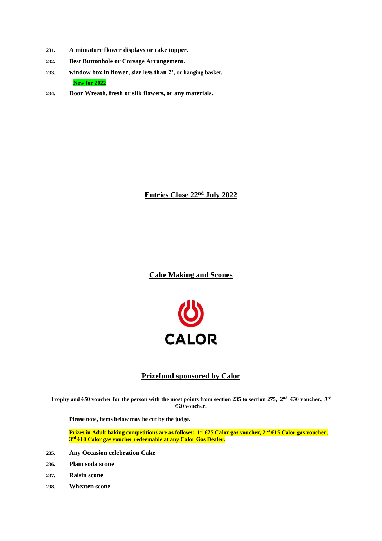- **231. A miniature flower displays or cake topper.**
- **232. Best Buttonhole or Corsage Arrangement.**
- **233. window box in flower, size less than 2', or hanging basket. New for 2022**
- **234. Door Wreath, fresh or silk flowers, or any materials.**

**Entries Close 22nd July 2022**

**Cake Making and Scones**



# **Prizefund sponsored by Calor**

**Trophy and €50 voucher for the person with the most points from section 235 to section 275, 2 nd €30 voucher, 3rd €20 voucher.**

**Please note, items below may be cut by the judge.**

**Prizes in Adult baking competitions are as follows: 1 st €25 Calor gas voucher, 2nd €15 Calor gas voucher, 3 rd €10 Calor gas voucher redeemable at any Calor Gas Dealer.**

- **235. Any Occasion celebration Cake**
- **236. Plain soda scone**
- **237. Raisin scone**
- **238. Wheaten scone**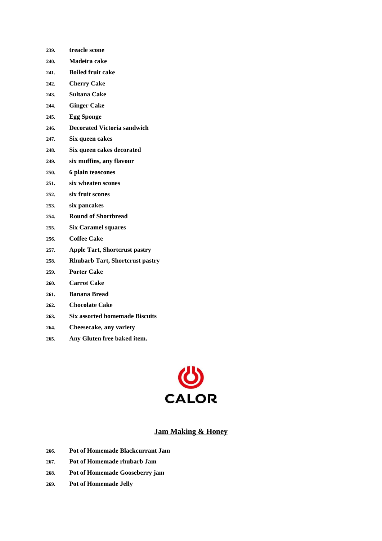- **239. treacle scone 240. Madeira cake**
- **241. Boiled fruit cake**
- **242. Cherry Cake**
- **243. Sultana Cake**
- **244. Ginger Cake**
- **245. Egg Sponge**
- **246. Decorated Victoria sandwich**
- **247. Six queen cakes**
- **248. Six queen cakes decorated**
- **249. six muffins, any flavour**
- **250. 6 plain teascones**
- **251. six wheaten scones**
- **252. six fruit scones**
- **253. six pancakes**
- **254. Round of Shortbread**
- **255. Six Caramel squares**
- **256. Coffee Cake**
- **257. Apple Tart, Shortcrust pastry**
- **258. Rhubarb Tart, Shortcrust pastry**
- **259. Porter Cake**
- **260. Carrot Cake**
- **261. Banana Bread**
- **262. Chocolate Cake**
- **263. Six assorted homemade Biscuits**
- **264. Cheesecake, any variety**
- **265. Any Gluten free baked item.**



# **Jam Making & Honey**

- **266. Pot of Homemade Blackcurrant Jam**
- **267. Pot of Homemade rhubarb Jam**
- **268. Pot of Homemade Gooseberry jam**
- **269. Pot of Homemade Jelly**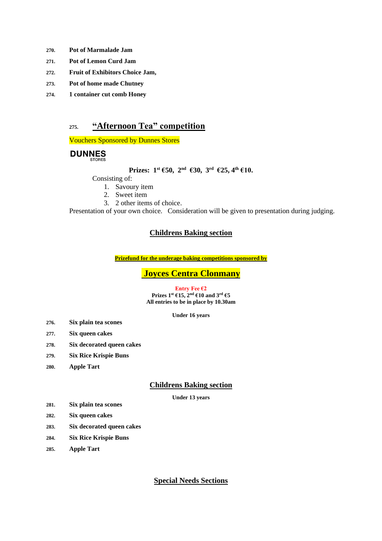- **270. Pot of Marmalade Jam**
- **271. Pot of Lemon Curd Jam**
- **272. Fruit of Exhibitors Choice Jam,**
- **273. Pot of home made Chutney**
- **274. 1 container cut comb Honey**

# **275. "Afternoon Tea" competition**

Vouchers Sponsored by Dunnes Stores

# **DUNNES**

# **Prizes: 1st €50, 2nd €30, 3 rd €25, 4th €10.**

# Consisting of:

1. Savoury item

- 2. Sweet item
- 3. 2 other items of choice.

Presentation of your own choice. Consideration will be given to presentation during judging.

# **Childrens Baking section**

**Prizefund for the underage baking competitions sponsored by**

# **Joyces Centra Clonmany**

#### **Entry Fee €2 Prizes 1st €15, 2nd €10 and 3rd €5 All entries to be in place by 10.30am**

**Under 16 years**

- **276. Six plain tea scones**
- **277. Six queen cakes**
- **278. Six decorated queen cakes**
- **279. Six Rice Krispie Buns**
- **280. Apple Tart**

# **Childrens Baking section**

**Under 13 years**

- **281. Six plain tea scones**
- **282. Six queen cakes**
- **283. Six decorated queen cakes**
- **284. Six Rice Krispie Buns**
- **285. Apple Tart**

# **Special Needs Sections**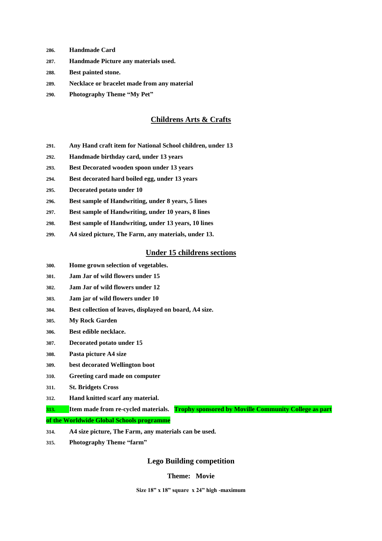- **286. Handmade Card**
- **287. Handmade Picture any materials used.**
- **288. Best painted stone.**
- **289. Necklace or bracelet made from any material**
- **290. Photography Theme "My Pet"**

# **Childrens Arts & Crafts**

- **291. Any Hand craft item for National School children, under 13**
- **292. Handmade birthday card, under 13 years**
- **293. Best Decorated wooden spoon under 13 years**
- **294. Best decorated hard boiled egg, under 13 years**
- **295. Decorated potato under 10**
- **296. Best sample of Handwriting, under 8 years, 5 lines**
- **297. Best sample of Handwriting, under 10 years, 8 lines**
- **298. Best sample of Handwriting, under 13 years, 10 lines**
- **299. A4 sized picture, The Farm, any materials, under 13.**

## **Under 15 childrens sections**

- **300. Home grown selection of vegetables.**
- **301. Jam Jar of wild flowers under 15**
- **302. Jam Jar of wild flowers under 12**
- **303. Jam jar of wild flowers under 10**
- **304. Best collection of leaves, displayed on board, A4 size.**
- **305. My Rock Garden**
- **306. Best edible necklace.**
- **307. Decorated potato under 15**
- **308. Pasta picture A4 size**
- **309. best decorated Wellington boot**
- **310. Greeting card made on computer**
- **311. St. Bridgets Cross**
- **312. Hand knitted scarf any material.**
- **313. Item made from re-cycled materials. Trophy sponsored by Moville Community College as part of the Worldwide Global Schools programme**
- **314. A4 size picture, The Farm, any materials can be used.**
- **315. Photography Theme "farm"**

## **Lego Building competition**

#### **Theme: Movie**

**Size 18" x 18" square x 24" high -maximum**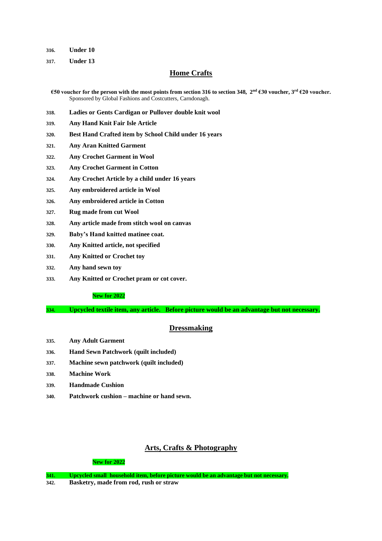**316. Under 10**

**317. Under 13**

# **Home Crafts**

**€50 voucher for the person with the most points from section 316 to section 348, 2nd €30 voucher, 3rd €20 voucher.** Sponsored by Global Fashions and Costcutters, Carndonagh.

- **318. Ladies or Gents Cardigan or Pullover double knit wool**
- **319. Any Hand Knit Fair Isle Article**
- **320. Best Hand Crafted item by School Child under 16 years**
- **321. Any Aran Knitted Garment**
- **322. Any Crochet Garment in Wool**
- **323. Any Crochet Garment in Cotton**
- **324. Any Crochet Article by a child under 16 years**
- **325. Any embroidered article in Wool**
- **326. Any embroidered article in Cotton**
- **327. Rug made from cut Wool**
- **328. Any article made from stitch wool on canvas**
- **329. Baby's Hand knitted matinee coat.**
- **330. Any Knitted article, not specified**
- **331. Any Knitted or Crochet toy**
- **332. Any hand sewn toy**
- **333. Any Knitted or Crochet pram or cot cover.**

### **New for 2022**

**334. Upcycled textile item, any article. Before picture would be an advantage but not necessary.**

## **Dressmaking**

- **335. Any Adult Garment**
- **336. Hand Sewn Patchwork (quilt included)**
- **337. Machine sewn patchwork (quilt included)**
- **338. Machine Work**
- **339. Handmade Cushion**
- **340. Patchwork cushion – machine or hand sewn.**

## **Arts, Crafts & Photography**

#### **New for 2022**